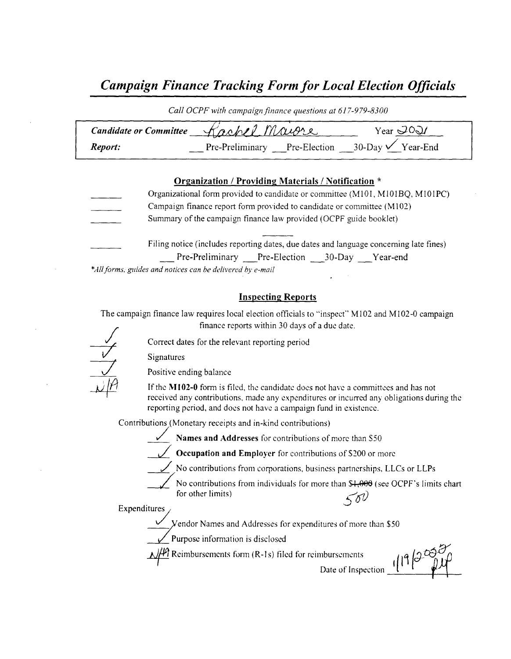# Campaign Finance Tracking Form for Local Election Officials

| Call OCPF with campaign finance questions at 617-979-8300 |                                                           |                     |  |
|-----------------------------------------------------------|-----------------------------------------------------------|---------------------|--|
|                                                           | Candidate or Committee Kachel Maugre                      | Year $\mathcal{O}Q$ |  |
| Report:                                                   | Pre-Preliminary Pre-Election 30-Day $\checkmark$ Year-End |                     |  |

### Organization / Providing Materials/ Notification \*

Organizational form provided to candidate or committee ( M101, MIO1BQ, MIOIPC) Campaign finance report form provided to candidate or committee ( M102) Summary of the campaign finance law provided( OCPF guide booklet) Filing notice (includes reporting dates, due dates and language concerning late fines) Pre-Preliminary Pre-Election 30-Day Year-end

\*All forms, guides and notices can be delivered by e-mail

### Inspecting Reports

The campaign finance law requires local election officials to "inspect" M102 and M102-0 campaign finance reports within 30 days of <sup>a</sup> due date.



Correct dates for the relevant reporting period

Signatures

Positive ending balance

If the  $M102-0$  form is filed, the candidate does not have a committees and has not received any contributions, made any expenditures or incurred any obligations during the reporting period, and does not have a campaign fund in existence.

Contributions (Monetary receipts and in-kind contributions)

Names and Addresses for contributions of more than \$50

Occupation and Employer for contributions of \$200 or more

 $\overline{\phantom{a}}$  No contributions from corporations, business partnerships, LLCs or LLPs

No contributions from individuals for more than  $$+;000$  (see OCPF's limits chart for other limits)  $\leq \delta \theta$ 

**Expenditures** 

endor Names and Addresses for expenditures of more than \$50

urpose information is disclose

 $1/4$  Reimbursements form (R-1s) filed for reimbursements

 $\frac{1}{2}$  Date of Inspection  $\frac{1}{2}$   $\left| \frac{1}{4} \right| \frac{1}{2}$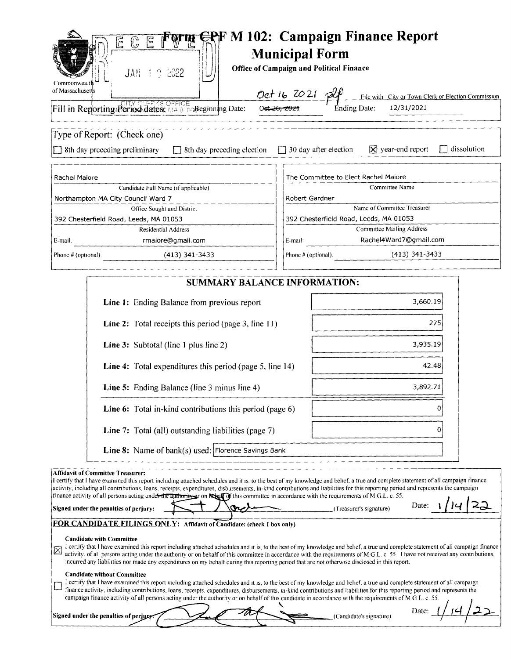| E<br>$\overline{\mathbb{G}}$<br>E<br>JAN 1 9 2022<br>Commonwealth<br>of Massachusetts                                                                                                                                                                                                                                                                                                                                                                                                                                                                                                                                                                  | Form EPF M 102: Campaign Finance Report<br><b>Municipal Form</b><br><b>Office of Campaign and Political Finance</b><br>File with City or Town Clerk or Election Commission |  |  |  |
|--------------------------------------------------------------------------------------------------------------------------------------------------------------------------------------------------------------------------------------------------------------------------------------------------------------------------------------------------------------------------------------------------------------------------------------------------------------------------------------------------------------------------------------------------------------------------------------------------------------------------------------------------------|----------------------------------------------------------------------------------------------------------------------------------------------------------------------------|--|--|--|
| Fill in Reporting/Period dates: AND 0100 Beginning Date:                                                                                                                                                                                                                                                                                                                                                                                                                                                                                                                                                                                               | 12/31/2021<br>Ending Date:                                                                                                                                                 |  |  |  |
| Type of Report: (Check one)<br>$\Box$ 8th day preceding preliminary<br>$\Box$ 8th day preceding election                                                                                                                                                                                                                                                                                                                                                                                                                                                                                                                                               | $\boxtimes$ year-end report<br>$\Box$ dissolution<br>$\Box$ 30 day after election                                                                                          |  |  |  |
| Rachel Maiore                                                                                                                                                                                                                                                                                                                                                                                                                                                                                                                                                                                                                                          | The Committee to Elect Rachel Maiore                                                                                                                                       |  |  |  |
| Candidate Full Name (if applicable)                                                                                                                                                                                                                                                                                                                                                                                                                                                                                                                                                                                                                    | Committee Name                                                                                                                                                             |  |  |  |
| Northampton MA City Council Ward 7                                                                                                                                                                                                                                                                                                                                                                                                                                                                                                                                                                                                                     | Robert Gardner                                                                                                                                                             |  |  |  |
| Office Sought and District                                                                                                                                                                                                                                                                                                                                                                                                                                                                                                                                                                                                                             | Name of Committee Treasurer                                                                                                                                                |  |  |  |
| 392 Chesterfield Road, Leeds, MA 01053<br><b>Residential Address</b>                                                                                                                                                                                                                                                                                                                                                                                                                                                                                                                                                                                   | 392 Chesterfield Road, Leeds, MA 01053<br><b>Committee Mailing Address</b>                                                                                                 |  |  |  |
| rmaiore@gmail.com<br>E-mail.                                                                                                                                                                                                                                                                                                                                                                                                                                                                                                                                                                                                                           | Rachel4Ward7@gmail.com<br>E-mail                                                                                                                                           |  |  |  |
|                                                                                                                                                                                                                                                                                                                                                                                                                                                                                                                                                                                                                                                        |                                                                                                                                                                            |  |  |  |
| Phone # (optional).<br>$(413)$ 341-3433                                                                                                                                                                                                                                                                                                                                                                                                                                                                                                                                                                                                                | $(413)$ 341-3433<br>Phone $#$ (optional).                                                                                                                                  |  |  |  |
| <b>SUMMARY BALANCE INFORMATION:</b>                                                                                                                                                                                                                                                                                                                                                                                                                                                                                                                                                                                                                    |                                                                                                                                                                            |  |  |  |
| Line 1: Ending Balance from previous report                                                                                                                                                                                                                                                                                                                                                                                                                                                                                                                                                                                                            | 3,660.19                                                                                                                                                                   |  |  |  |
| Line 2: Total receipts this period (page 3, line 11)<br>275                                                                                                                                                                                                                                                                                                                                                                                                                                                                                                                                                                                            |                                                                                                                                                                            |  |  |  |
| 3,935.19<br><b>Line 3:</b> Subtotal (line 1 plus line 2)                                                                                                                                                                                                                                                                                                                                                                                                                                                                                                                                                                                               |                                                                                                                                                                            |  |  |  |
| 42.48<br><b>Line 4:</b> Total expenditures this period (page 5, line 14)                                                                                                                                                                                                                                                                                                                                                                                                                                                                                                                                                                               |                                                                                                                                                                            |  |  |  |
| 3,892.71<br>Line 5: Ending Balance (line 3 minus line 4)                                                                                                                                                                                                                                                                                                                                                                                                                                                                                                                                                                                               |                                                                                                                                                                            |  |  |  |
| Line 6: Total in-kind contributions this period (page 6)<br>O                                                                                                                                                                                                                                                                                                                                                                                                                                                                                                                                                                                          |                                                                                                                                                                            |  |  |  |
| Line 7: Total (all) outstanding liabilities (page 7)<br>Ω                                                                                                                                                                                                                                                                                                                                                                                                                                                                                                                                                                                              |                                                                                                                                                                            |  |  |  |
| <b>Line 8:</b> Name of bank(s) used: Florence Savings Bank                                                                                                                                                                                                                                                                                                                                                                                                                                                                                                                                                                                             |                                                                                                                                                                            |  |  |  |
| <b>Affidavit of Committee Treasurer:</b><br>I certify that I have examined this report including attached schedules and it is, to the best of my knowledge and belief, a true and complete statement of all campaign finance<br>activity, including all contributions, loans, receipts, expenditures, disbursements, in-kind contributions and liabilities for this reporting period and represents the campaign<br>finance activity of all persons acting under the authority of on <b>belian</b> on the committee in accordance with the requirements of M G.L. c. 55.<br>Date:<br>Signed under the penalties of perjury:<br>(Treasurer's signature) |                                                                                                                                                                            |  |  |  |
| FOR CANDIDATE FILINGS ONLY: Affidavit of Candidate: (check 1 box only)                                                                                                                                                                                                                                                                                                                                                                                                                                                                                                                                                                                 |                                                                                                                                                                            |  |  |  |
| <b>Candidate with Committee</b><br>I certify that I have examined this report including attached schedules and it is, to the best of my knowledge and belief, a true and complete statement of all campaign finance<br>ı×<br>activity, of all persons acting under the authority or on behalf of this committee in accordance with the requirements of M.G.L. c 55. I have not received any contributions,<br>incurred any liabilities nor made any expenditures on my behalf during this reporting period that are not otherwise disclosed in this report.                                                                                            |                                                                                                                                                                            |  |  |  |
| <b>Candidate without Committee</b><br>I certify that I have examined this report including attached schedules and it is, to the best of my knowledge and belief, a true and complete statement of all campaign<br>finance activity, including contributions, loans, receipts, expenditures, disbursements, in-kind contributions and liabilities for this reporting period and represents the<br>campaign finance activity of all persons acting under the authority or on behalf of this candidate in accordance with the requirements of M.G L. c. 55.                                                                                               |                                                                                                                                                                            |  |  |  |
| Date:<br>Signed under the penalties of perjury.<br>(Candidate's signature)                                                                                                                                                                                                                                                                                                                                                                                                                                                                                                                                                                             |                                                                                                                                                                            |  |  |  |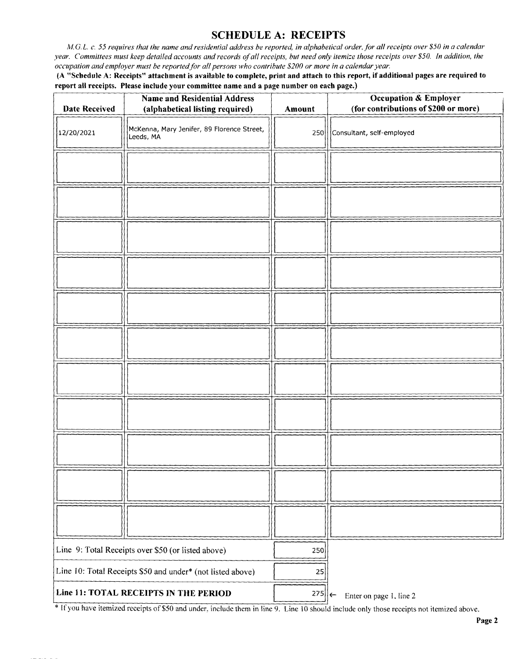# SCHEDULE A: RECEIPTS

M.G. L. c. 55 requires that the name and residential address be reported, in alphabetical order, for all receipts over \$50 in a calendar year. Committees must keep detailed accounts and records of all receipts, but need only itemize those receipts over \$50. In addition, the occupation and employer must be reported for all persons who contribute \$200 or more in a calendar year.

A " Schedule A: Receipts" attachment is available to complete, print and attach to this report, if additional pages are required to report all receipts. Please include your committee name and a page number on each page.)

| <b>Date Received</b>                                       | <b>Name and Residential Address</b><br>(alphabetical listing required) | Amount | <b>Occupation &amp; Employer</b><br>(for contributions of \$200 or more) |
|------------------------------------------------------------|------------------------------------------------------------------------|--------|--------------------------------------------------------------------------|
| 12/20/2021                                                 | McKenna, Mary Jenifer, 89 Florence Street,<br>Leeds, MA                | 250    | Consultant, self-employed                                                |
|                                                            |                                                                        |        |                                                                          |
|                                                            |                                                                        |        |                                                                          |
|                                                            |                                                                        |        |                                                                          |
|                                                            |                                                                        |        |                                                                          |
|                                                            |                                                                        |        |                                                                          |
|                                                            |                                                                        |        |                                                                          |
|                                                            |                                                                        |        |                                                                          |
|                                                            |                                                                        |        |                                                                          |
|                                                            |                                                                        |        |                                                                          |
|                                                            |                                                                        |        |                                                                          |
|                                                            |                                                                        |        |                                                                          |
|                                                            | Line 9: Total Receipts over \$50 (or listed above)                     | 250    |                                                                          |
| Line 10: Total Receipts \$50 and under* (not listed above) |                                                                        | 25     |                                                                          |
| Line 11: TOTAL RECEIPTS IN THE PERIOD                      |                                                                        | 275    | Enter on page 1, line 2<br>∣←                                            |

<sup>\*</sup> If you have itemized receipts of \$50 and under, include them in line 9. Line 10 should include only those receipts not itemized above.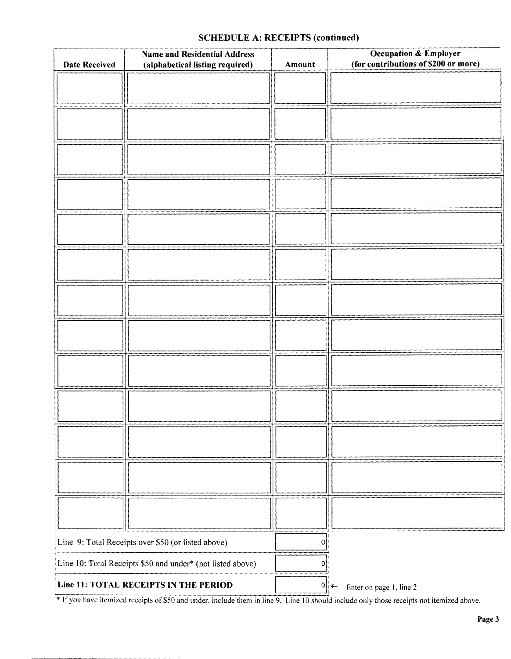### SCHEDULE A: RECEIPTS (continued)

| <b>Name and Residential Address</b><br><b>Date Received</b><br>(alphabetical listing required) |  | Amount | Occupation & Employer<br>(for contributions of \$200 or more) |
|------------------------------------------------------------------------------------------------|--|--------|---------------------------------------------------------------|
|                                                                                                |  |        |                                                               |
|                                                                                                |  |        |                                                               |
|                                                                                                |  |        |                                                               |
|                                                                                                |  |        |                                                               |
|                                                                                                |  |        |                                                               |
|                                                                                                |  |        |                                                               |
|                                                                                                |  |        |                                                               |
|                                                                                                |  |        |                                                               |
|                                                                                                |  |        |                                                               |
|                                                                                                |  |        |                                                               |
|                                                                                                |  |        |                                                               |
|                                                                                                |  |        |                                                               |
|                                                                                                |  |        |                                                               |
|                                                                                                |  |        |                                                               |
|                                                                                                |  |        |                                                               |
|                                                                                                |  |        |                                                               |
|                                                                                                |  |        |                                                               |
|                                                                                                |  |        |                                                               |
|                                                                                                |  |        |                                                               |
|                                                                                                |  |        |                                                               |
|                                                                                                |  |        |                                                               |
|                                                                                                |  |        |                                                               |
|                                                                                                |  |        |                                                               |
|                                                                                                |  |        |                                                               |
|                                                                                                |  |        |                                                               |
|                                                                                                |  |        |                                                               |
| Line 9: Total Receipts over \$50 (or listed above)                                             |  | 0      |                                                               |
| Line 10: Total Receipts \$50 and under* (not listed above)                                     |  | 0      |                                                               |
| Line 11: TOTAL RECEIPTS IN THE PERIOD                                                          |  |        | $0  \leftarrow$<br>Enter on page 1, line 2                    |

If you have itemized receipts of \$50 and under, include them in line 9. Line 10 should include only those receipts not itemized above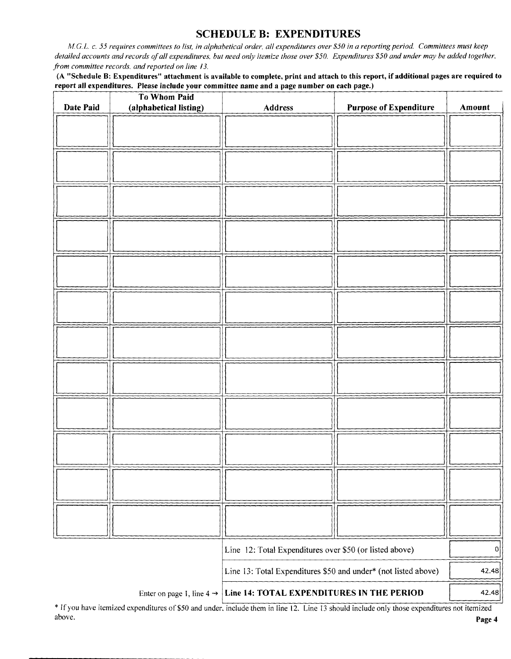### SCHEDULE B: EXPENDITURES

Al C. L. c. 55 requires committees to list, in alphabetical order, all expenditures over\$ 50 in a reporting period. Committees must keep detailed accounts and records of all expenditures, but need only itemize those over \$50. Expenditures \$50 and under may be added together, from committee records, and reported on line 13.

A" Schedule B: Expenditures" attachment is available to complete, print and attach to this report, if additional pages are required to report all expenditures. Please include your committee name and a page number on each page.)

|                                                                                          | <b>To Whom Paid</b>    |                                                                |                               |        |
|------------------------------------------------------------------------------------------|------------------------|----------------------------------------------------------------|-------------------------------|--------|
| Date Paid                                                                                | (alphabetical listing) | <b>Address</b>                                                 | <b>Purpose of Expenditure</b> | Amount |
|                                                                                          |                        |                                                                |                               |        |
|                                                                                          |                        |                                                                |                               |        |
|                                                                                          |                        |                                                                |                               |        |
|                                                                                          |                        |                                                                |                               |        |
|                                                                                          |                        |                                                                |                               |        |
|                                                                                          |                        |                                                                |                               |        |
|                                                                                          |                        |                                                                |                               |        |
|                                                                                          |                        |                                                                |                               |        |
|                                                                                          |                        |                                                                |                               |        |
|                                                                                          |                        |                                                                |                               |        |
|                                                                                          |                        |                                                                |                               |        |
|                                                                                          |                        |                                                                |                               |        |
|                                                                                          |                        |                                                                |                               |        |
|                                                                                          |                        |                                                                |                               |        |
|                                                                                          |                        |                                                                |                               |        |
|                                                                                          |                        |                                                                |                               |        |
|                                                                                          |                        |                                                                |                               |        |
|                                                                                          |                        |                                                                |                               |        |
|                                                                                          |                        |                                                                |                               |        |
|                                                                                          |                        |                                                                |                               |        |
|                                                                                          |                        |                                                                |                               |        |
|                                                                                          |                        |                                                                |                               |        |
|                                                                                          |                        |                                                                |                               |        |
|                                                                                          |                        |                                                                |                               |        |
|                                                                                          |                        |                                                                |                               |        |
|                                                                                          |                        |                                                                |                               |        |
|                                                                                          |                        |                                                                |                               |        |
|                                                                                          |                        |                                                                |                               |        |
|                                                                                          |                        |                                                                |                               |        |
|                                                                                          |                        |                                                                |                               |        |
|                                                                                          |                        |                                                                |                               |        |
|                                                                                          |                        |                                                                |                               |        |
|                                                                                          |                        |                                                                |                               |        |
|                                                                                          |                        | Line 12: Total Expenditures over \$50 (or listed above)        |                               | 0      |
|                                                                                          |                        | Line 13: Total Expenditures \$50 and under* (not listed above) |                               | 42.48  |
| Line 14: TOTAL EXPENDITURES IN THE PERIOD<br>Enter on page 1, line $4 \rightarrow \vert$ |                        |                                                                | 42.48                         |        |

If you have itemized expenditures of\$50 and under, include them in line 12. Line <sup>13</sup> should include only those expenditures not itemized above. **Page 4** and the set of the set of the set of the set of the set of the set of the set of the set of the set of the set of the set of the set of the set of the set of the set of the set of the set of the set of the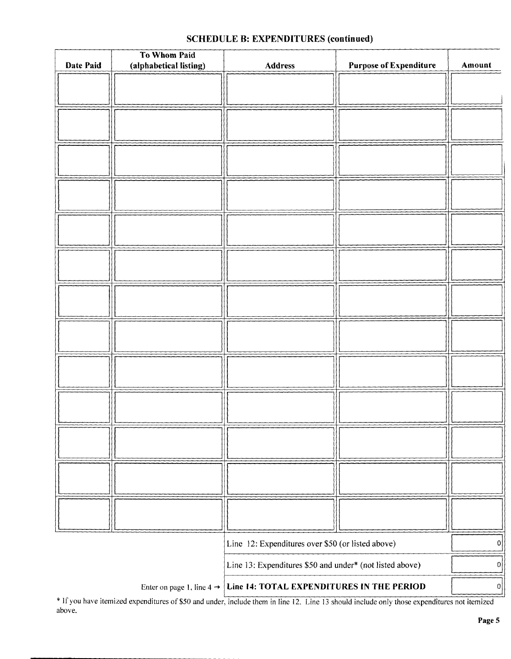# To Whom Paid Date Paid (alphabetical listing) | Address | Purpose of Expenditure | Amount Line 12: Expenditures over \$50 (or listed above) Line 13: Expenditures \$50 and under\* (not listed above)  $\begin{bmatrix} 0 & 0 \\ 0 & 0 \end{bmatrix}$ Enter on page 1, line  $4 \rightarrow$  Line 14: TOTAL EXPENDITURES IN THE PERIOD  $\Big|$  0

### SCHEDULE B: EXPENDITURES (continued)

If you have itemized expenditures of\$ <sup>50</sup> and under, include them in line 12. Line <sup>13</sup> should include only those expenditures not itemized above.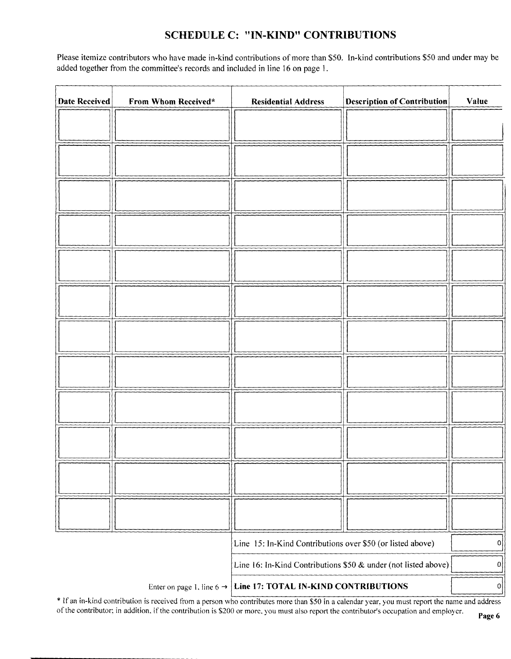# SCHEDULE C: "IN-KIND" CONTRIBUTIONS

Please itemize contributors who have made in-kind contributions of more than \$50. In-kind contributions \$50 and under may be added together from the committee's records and included in line 16 on page 1.

| <b>Date Received</b> | From Whom Received* | <b>Residential Address</b>                                                 | <b>Description of Contribution</b> | Value     |
|----------------------|---------------------|----------------------------------------------------------------------------|------------------------------------|-----------|
|                      |                     |                                                                            |                                    |           |
|                      |                     |                                                                            |                                    |           |
|                      |                     |                                                                            |                                    |           |
|                      |                     |                                                                            |                                    |           |
|                      |                     |                                                                            |                                    |           |
|                      |                     |                                                                            |                                    |           |
|                      |                     |                                                                            |                                    |           |
|                      |                     |                                                                            |                                    |           |
|                      |                     |                                                                            |                                    |           |
|                      |                     |                                                                            |                                    |           |
|                      |                     |                                                                            |                                    |           |
|                      |                     |                                                                            |                                    |           |
|                      |                     |                                                                            |                                    |           |
|                      |                     | Line 15: In-Kind Contributions over \$50 (or listed above)                 |                                    | 0         |
|                      |                     | Line 16: In-Kind Contributions \$50 & under (not listed above)             |                                    | $\pmb{0}$ |
|                      |                     | Enter on page 1, line $6 \rightarrow$ Line 17: TOTAL IN-KIND CONTRIBUTIONS |                                    | 0         |

If an in-kind contribution is received from a person who contributes more than \$50 in a calendar year, you must report the name and address of the contributor; in addition, if the contribution is \$200 or more, you must also report the contributor's occupation and employer.